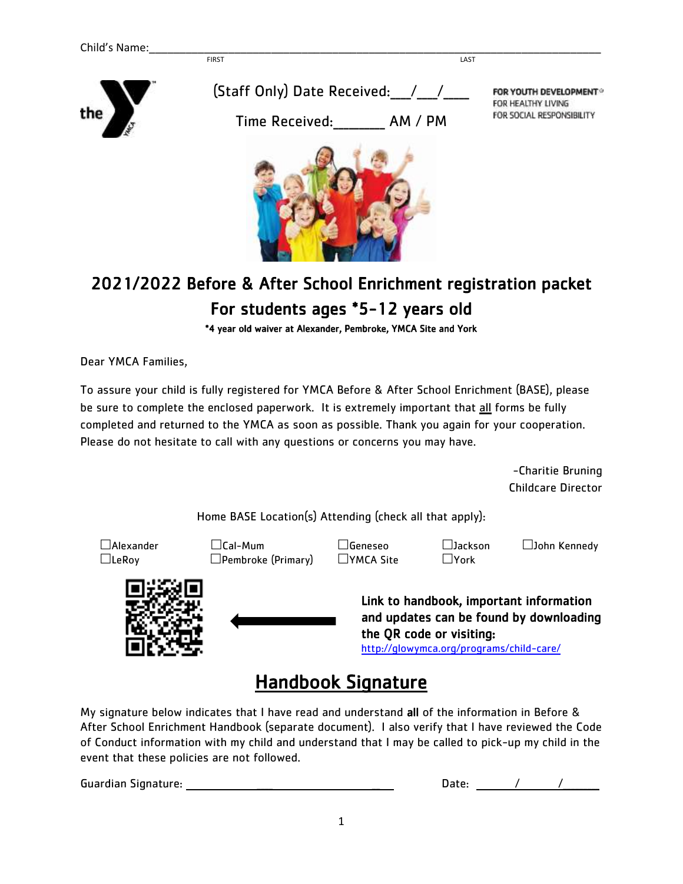

## 2021/2022 Before & After School Enrichment registration packet For students ages \*5-12 years old

i

\*4 year old waiver at Alexander, Pembroke, YMCA Site and York

Dear YMCA Families,

To assure your child is fully registered for YMCA Before & After School Enrichment (BASE), please be sure to complete the enclosed paperwork. It is extremely important that all forms be fully completed and returned to the YMCA as soon as possible. Thank you again for your cooperation. Please do not hesitate to call with any questions or concerns you may have.

> -Charitie Bruning Childcare Director

Home BASE Location(s) Attending (check all that apply):

 Alexander Cal-Mum Geneseo Jackson John Kennedy  $\Box$ LeRoy  $\Box$ Pembroke (Primary)  $\Box$ YMCA Site  $\Box$ York



Link to handbook, important information and updates can be found by downloading the QR code or visiting:

<http://glowymca.org/programs/child-care/>

## Handbook Signature

My signature below indicates that I have read and understand all of the information in Before & After School Enrichment Handbook (separate document). I also verify that I have reviewed the Code of Conduct information with my child and understand that I may be called to pick-up my child in the event that these policies are not followed.

Guardian Signature: \_\_\_\_ \_\_ Date: / /\_\_\_\_\_\_\_\_\_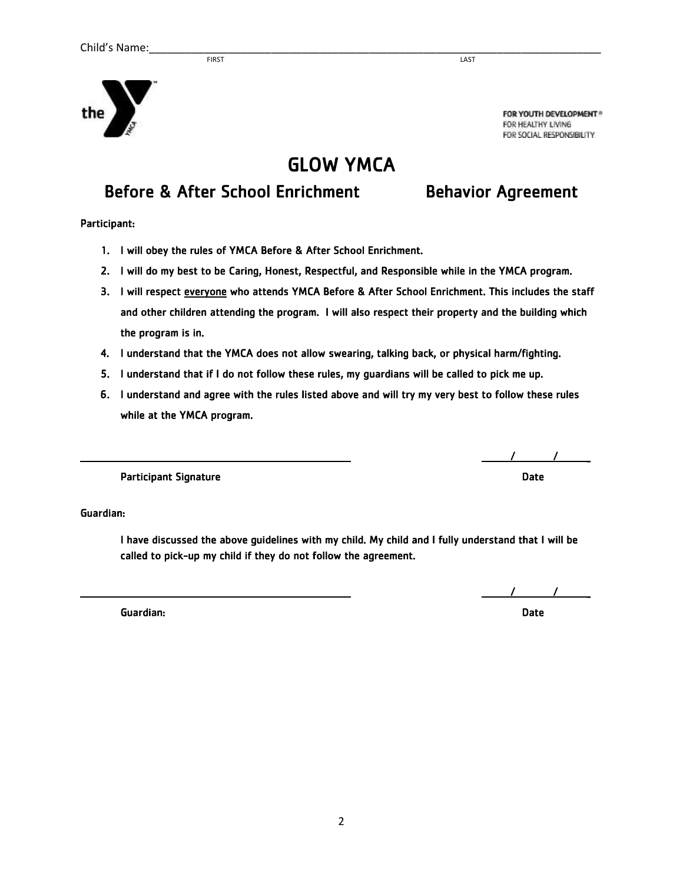**FIRST** LAST



FOR YOUTH DEVELOPMENT® FOR HEALTHY LIVING FOR SOCIAL RESPONSIBILITY.

## GLOW YMCA

## Before & After School Enrichment Behavior Agreement

Participant:

- 1. I will obey the rules of YMCA Before & After School Enrichment.
- 2. I will do my best to be Caring, Honest, Respectful, and Responsible while in the YMCA program.
- 3. I will respect everyone who attends YMCA Before & After School Enrichment. This includes the staff and other children attending the program. I will also respect their property and the building which the program is in.
- 4. I understand that the YMCA does not allow swearing, talking back, or physical harm/fighting.
- 5. I understand that if I do not follow these rules, my guardians will be called to pick me up.
- 6. I understand and agree with the rules listed above and will try my very best to follow these rules while at the YMCA program.

 $\overline{\phantom{a}}$  /  $\overline{\phantom{a}}$  /  $\overline{\phantom{a}}$  /  $\overline{\phantom{a}}$  /  $\overline{\phantom{a}}$  /  $\overline{\phantom{a}}$  /  $\overline{\phantom{a}}$  /  $\overline{\phantom{a}}$  /  $\overline{\phantom{a}}$  /  $\overline{\phantom{a}}$  /  $\overline{\phantom{a}}$  /  $\overline{\phantom{a}}$  /  $\overline{\phantom{a}}$  /  $\overline{\phantom{a}}$  /  $\overline{\phantom{a}}$  /  $\overline{\phantom{a}}$ 

Participant Signature **Date of the Contract of Contract Contract of Contract Contract Contract Only and Date** 

Guardian:

I have discussed the above guidelines with my child. My child and I fully understand that I will be called to pick-up my child if they do not follow the agreement.

2

Guardian: Date

 $\overline{\phantom{a}}$  /  $\overline{\phantom{a}}$  /  $\overline{\phantom{a}}$  /  $\overline{\phantom{a}}$  /  $\overline{\phantom{a}}$  /  $\overline{\phantom{a}}$  /  $\overline{\phantom{a}}$  /  $\overline{\phantom{a}}$  /  $\overline{\phantom{a}}$  /  $\overline{\phantom{a}}$  /  $\overline{\phantom{a}}$  /  $\overline{\phantom{a}}$  /  $\overline{\phantom{a}}$  /  $\overline{\phantom{a}}$  /  $\overline{\phantom{a}}$  /  $\overline{\phantom{a}}$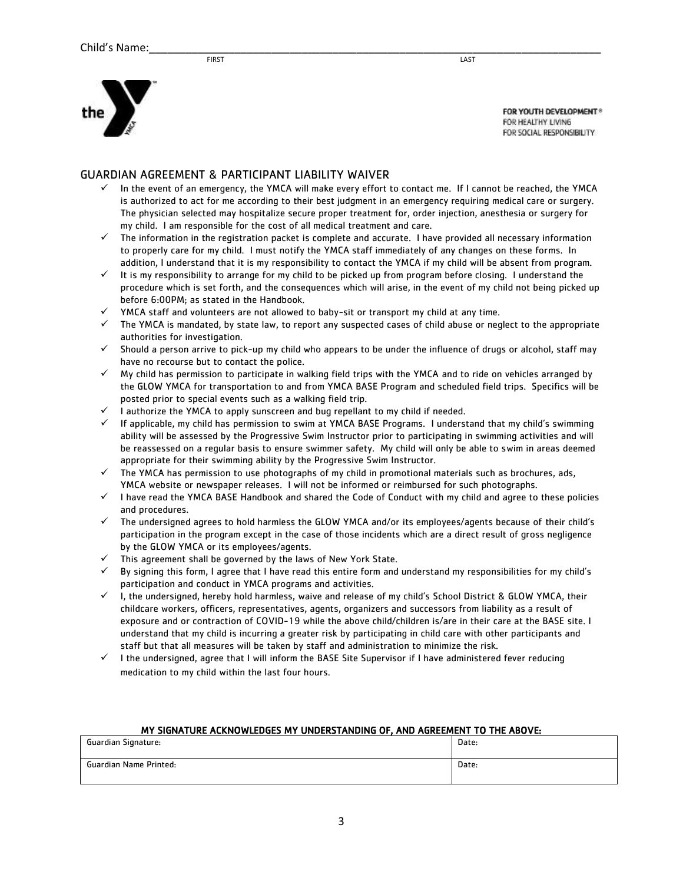



FOR YOUTH DEVELOPMENT® FOR HEALTHY LIVING FOR SOCIAL RESPONSIBILITY

### GUARDIAN AGREEMENT & PARTICIPANT LIABILITY WAIVER

- In the event of an emergency, the YMCA will make every effort to contact me. If I cannot be reached, the YMCA is authorized to act for me according to their best judgment in an emergency requiring medical care or surgery. The physician selected may hospitalize secure proper treatment for, order injection, anesthesia or surgery for my child. I am responsible for the cost of all medical treatment and care.
- $\checkmark$  The information in the registration packet is complete and accurate. I have provided all necessary information to properly care for my child. I must notify the YMCA staff immediately of any changes on these forms. In addition, I understand that it is my responsibility to contact the YMCA if my child will be absent from program.
- $\checkmark$  It is my responsibility to arrange for my child to be picked up from program before closing. I understand the procedure which is set forth, and the consequences which will arise, in the event of my child not being picked up before 6:00PM; as stated in the Handbook.
- $\checkmark$  YMCA staff and volunteers are not allowed to baby-sit or transport my child at any time.
- $\checkmark$  The YMCA is mandated, by state law, to report any suspected cases of child abuse or neglect to the appropriate authorities for investigation.
- $\checkmark$  Should a person arrive to pick-up my child who appears to be under the influence of drugs or alcohol, staff may have no recourse but to contact the police.
- $\checkmark$  My child has permission to participate in walking field trips with the YMCA and to ride on vehicles arranged by the GLOW YMCA for transportation to and from YMCA BASE Program and scheduled field trips. Specifics will be posted prior to special events such as a walking field trip.
- $\checkmark$  I authorize the YMCA to apply sunscreen and bug repellant to my child if needed.
- $\checkmark$  If applicable, my child has permission to swim at YMCA BASE Programs. I understand that my child's swimming ability will be assessed by the Progressive Swim Instructor prior to participating in swimming activities and will be reassessed on a regular basis to ensure swimmer safety. My child will only be able to swim in areas deemed appropriate for their swimming ability by the Progressive Swim Instructor.
- $\checkmark$  The YMCA has permission to use photographs of my child in promotional materials such as brochures, ads, YMCA website or newspaper releases. I will not be informed or reimbursed for such photographs.
- $\checkmark$  I have read the YMCA BASE Handbook and shared the Code of Conduct with my child and agree to these policies and procedures.
- $\checkmark$  The undersigned agrees to hold harmless the GLOW YMCA and/or its employees/agents because of their child's participation in the program except in the case of those incidents which are a direct result of gross negligence by the GLOW YMCA or its employees/agents.
- $\checkmark$  This agreement shall be governed by the laws of New York State.
- $\checkmark$  By signing this form, I agree that I have read this entire form and understand my responsibilities for my child's participation and conduct in YMCA programs and activities.
- $\checkmark$  I, the undersigned, hereby hold harmless, waive and release of my child's School District & GLOW YMCA, their childcare workers, officers, representatives, agents, organizers and successors from liability as a result of exposure and or contraction of COVID-19 while the above child/children is/are in their care at the BASE site. I understand that my child is incurring a greater risk by participating in child care with other participants and staff but that all measures will be taken by staff and administration to minimize the risk.
- $\checkmark$  I the undersigned, agree that I will inform the BASE Site Supervisor if I have administered fever reducing medication to my child within the last four hours.

| MY SIGNATURE ACKNOWLEDGES MY UNDERSTANDING OF. AND AGREEMENT TO THE ABOVE: |       |  |  |  |  |  |
|----------------------------------------------------------------------------|-------|--|--|--|--|--|
| Guardian Signature:                                                        | Date: |  |  |  |  |  |
|                                                                            |       |  |  |  |  |  |
| Guardian Name Printed:                                                     | Date: |  |  |  |  |  |
|                                                                            |       |  |  |  |  |  |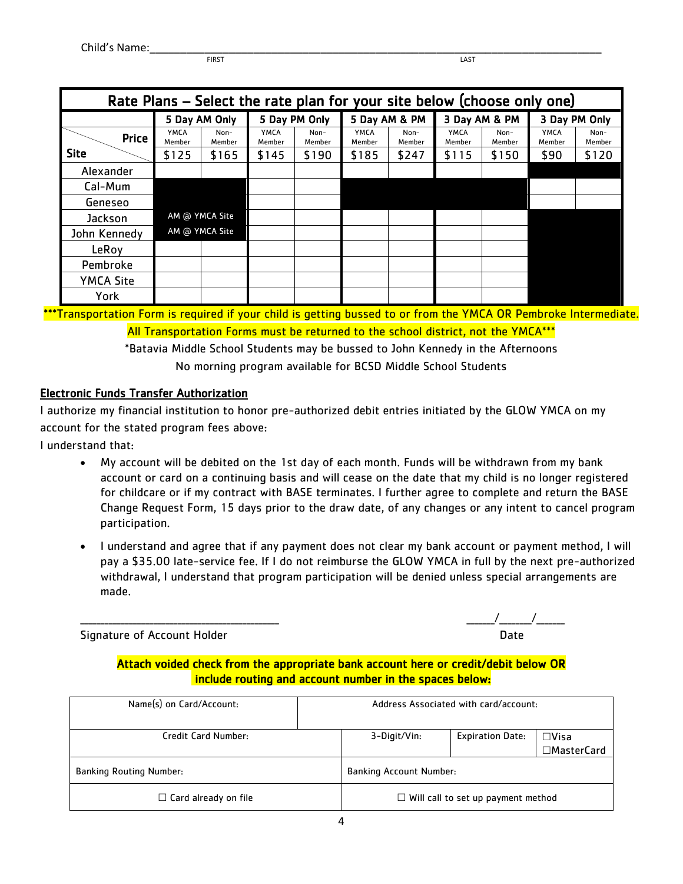**FIRST** LAST

| Rate Plans - Select the rate plan for your site below (choose only one) |                |                |                |                |                |                |                |                |                       |                |
|-------------------------------------------------------------------------|----------------|----------------|----------------|----------------|----------------|----------------|----------------|----------------|-----------------------|----------------|
|                                                                         |                | 5 Day AM Only  |                | 5 Day PM Only  |                | 5 Day AM & PM  |                | 3 Day AM & PM  |                       | 3 Day PM Only  |
| <b>Price</b>                                                            | YMCA<br>Member | Non-<br>Member | YMCA<br>Member | Non-<br>Member | YMCA<br>Member | Non-<br>Member | YMCA<br>Member | Non-<br>Member | <b>YMCA</b><br>Member | Non-<br>Member |
| <b>Site</b>                                                             | \$125          | \$165          | \$145          | \$190          | \$185          | \$247          | \$115          | \$150          | \$90                  | \$120          |
| Alexander                                                               |                |                |                |                |                |                |                |                |                       |                |
| Cal-Mum                                                                 |                |                |                |                |                |                |                |                |                       |                |
| Geneseo                                                                 |                |                |                |                |                |                |                |                |                       |                |
| Jackson                                                                 |                | AM @ YMCA Site |                |                |                |                |                |                |                       |                |
| John Kennedy                                                            |                | AM @ YMCA Site |                |                |                |                |                |                |                       |                |
| LeRoy                                                                   |                |                |                |                |                |                |                |                |                       |                |
| Pembroke                                                                |                |                |                |                |                |                |                |                |                       |                |
| <b>YMCA Site</b>                                                        |                |                |                |                |                |                |                |                |                       |                |
| York                                                                    |                |                |                |                |                |                |                |                |                       |                |

\*\*\*Transportation Form is required if your child is getting bussed to or from the YMCA OR Pembroke Intermediate. All Transportation Forms must be returned to the school district, not the YMCA\*\*\*

> \*Batavia Middle School Students may be bussed to John Kennedy in the Afternoons No morning program available for BCSD Middle School Students

### Electronic Funds Transfer Authorization

I authorize my financial institution to honor pre-authorized debit entries initiated by the GLOW YMCA on my account for the stated program fees above:

I understand that:

- My account will be debited on the 1st day of each month. Funds will be withdrawn from my bank account or card on a continuing basis and will cease on the date that my child is no longer registered for childcare or if my contract with BASE terminates. I further agree to complete and return the BASE Change Request Form, 15 days prior to the draw date, of any changes or any intent to cancel program participation.
- I understand and agree that if any payment does not clear my bank account or payment method, I will pay a \$35.00 late-service fee. If I do not reimburse the GLOW YMCA in full by the next pre-authorized withdrawal, I understand that program participation will be denied unless special arrangements are made.

Signature of Account Holder

| Signature of Account Holder |  |  |
|-----------------------------|--|--|

### Attach voided check from the appropriate bank account here or credit/debit below OR include routing and account number in the spaces below:

| Name(s) on Card/Account:       | Address Associated with card/account: |                                    |                               |  |
|--------------------------------|---------------------------------------|------------------------------------|-------------------------------|--|
| Credit Card Number:            | 3-Digit/Vin:                          | <b>Expiration Date:</b>            | $\square$ Visa<br>□MasterCard |  |
| <b>Banking Routing Number:</b> | <b>Banking Account Number:</b>        |                                    |                               |  |
| $\Box$ Card already on file    | $\Box$                                | Will call to set up payment method |                               |  |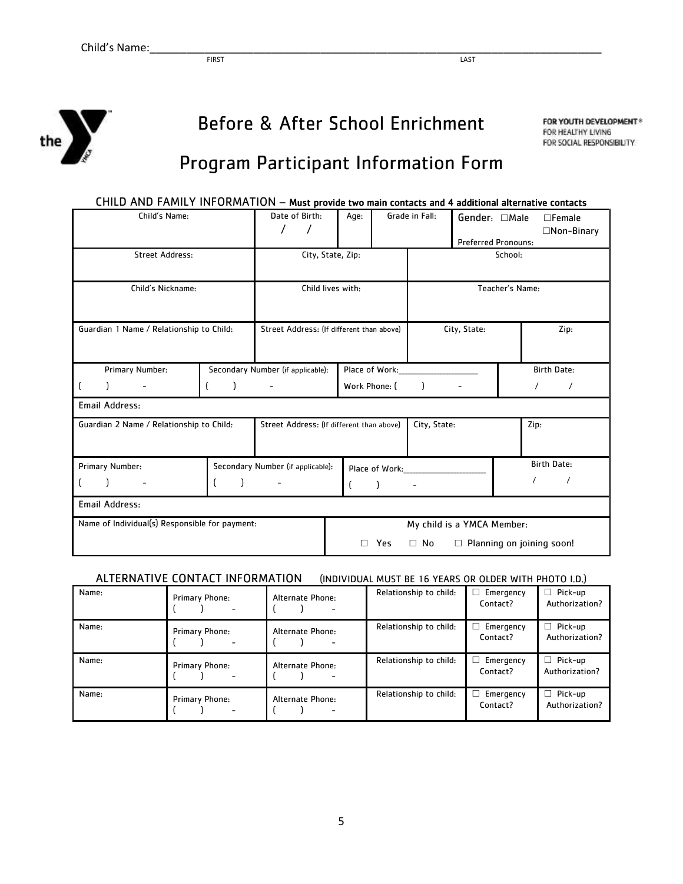

# Before & After School Enrichment

FOR YOUTH DEVELOPMENT® FOR HEALTHY LIVING FOR SOCIAL RESPONSIBILITY

## Program Participant Information Form

| CHILD AND FAMILY INFORMATION - Must provide two main contacts and 4 additional alternative contacts |                                      |                                           |                            |                |              |                                             |                                    |  |
|-----------------------------------------------------------------------------------------------------|--------------------------------------|-------------------------------------------|----------------------------|----------------|--------------|---------------------------------------------|------------------------------------|--|
| Child's Name:                                                                                       |                                      | Date of Birth:<br>$\prime$                | Age:                       | Grade in Fall: |              | Gender: □Male<br><b>Preferred Pronouns:</b> | $\Box$ Female<br>$\Box$ Non-Binary |  |
| <b>Street Address:</b>                                                                              |                                      |                                           | City, State, Zip:          |                |              |                                             | School:                            |  |
| Child's Nickname:                                                                                   | Child lives with:<br>Teacher's Name: |                                           |                            |                |              |                                             |                                    |  |
| Guardian 1 Name / Relationship to Child:                                                            |                                      | Street Address: (If different than above) |                            |                |              | City, State:                                | Zip:                               |  |
| Primary Number:                                                                                     |                                      | Secondary Number (if applicable):         | Place of Work:             |                |              | <b>Birth Date:</b>                          |                                    |  |
|                                                                                                     |                                      |                                           | Work Phone: (              |                |              |                                             | $\prime$                           |  |
| <b>Email Address:</b>                                                                               |                                      |                                           |                            |                |              |                                             |                                    |  |
| Guardian 2 Name / Relationship to Child:                                                            |                                      | Street Address: (If different than above) |                            |                | City, State: |                                             | Zip:                               |  |
| Primary Number:                                                                                     |                                      | Secondary Number (if applicable):         |                            | Place of Work: |              |                                             | <b>Birth Date:</b>                 |  |
|                                                                                                     |                                      |                                           |                            |                |              |                                             |                                    |  |
| Email Address:                                                                                      |                                      |                                           |                            |                |              |                                             |                                    |  |
| Name of Individual(s) Responsible for payment:                                                      |                                      |                                           | My child is a YMCA Member: |                |              |                                             |                                    |  |
|                                                                                                     |                                      |                                           | п                          | Yes            | $\Box$ No    | $\Box$                                      | Planning on joining soon!          |  |

ALTERNATIVE CONTACT INFORMATION (INDIVIDUAL MUST BE 16 YEARS OR OLDER WITH PHOTO I.D.)

| Name: | Primary Phone:             | Alternate Phone:<br>-                            | Relationship to child: | Emergency<br>Contact? | $\Box$ Pick-up<br>Authorization? |
|-------|----------------------------|--------------------------------------------------|------------------------|-----------------------|----------------------------------|
| Name: | <b>Primary Phone:</b><br>- | Alternate Phone:<br>-                            | Relationship to child: | Emergency<br>Contact? | Pick-up<br>Authorization?        |
|       |                            |                                                  |                        |                       |                                  |
| Name: | Primary Phone:<br>-        | Alternate Phone:<br>$\qquad \qquad \blacksquare$ | Relationship to child: | Emergency<br>Contact? | $\Box$ Pick-up<br>Authorization? |